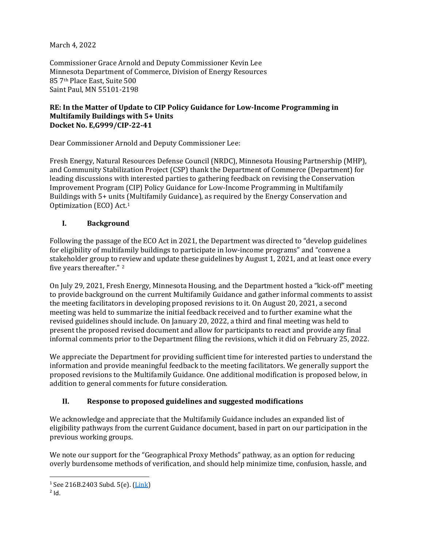March 4, 2022

Commissioner Grace Arnold and Deputy Commissioner Kevin Lee Minnesota Department of Commerce, Division of Energy Resources 85 7th Place East, Suite 500 Saint Paul, MN 55101-2198

### **RE: In the Matter of Update to CIP Policy Guidance for Low-Income Programming in Multifamily Buildings with 5+ Units Docket No. E,G999/CIP-22-41**

Dear Commissioner Arnold and Deputy Commissioner Lee:

Fresh Energy, Natural Resources Defense Council (NRDC), Minnesota Housing Partnership (MHP), and Community Stabilization Project (CSP) thank the Department of Commerce (Department) for leading discussions with interested parties to gathering feedback on revising the Conservation Improvement Program (CIP) Policy Guidance for Low-Income Programming in Multifamily Buildings with 5+ units (Multifamily Guidance), as required by the Energy Conservation and Optimization (ECO) Act.[1](#page-0-0)

### **I. Background**

Following the passage of the ECO Act in 2021, the Department was directed to "develop guidelines for eligibility of multifamily buildings to participate in low-income programs" and "convene a stakeholder group to review and update these guidelines by August 1, 2021, and at least once every five years thereafter." [2](#page-0-1)

On July 29, 2021, Fresh Energy, Minnesota Housing, and the Department hosted a "kick-off" meeting to provide background on the current Multifamily Guidance and gather informal comments to assist the meeting facilitators in developing proposed revisions to it. On August 20, 2021, a second meeting was held to summarize the initial feedback received and to further examine what the revised guidelines should include. On January 20, 2022, a third and final meeting was held to present the proposed revised document and allow for participants to react and provide any final informal comments prior to the Department filing the revisions, which it did on February 25, 2022.

We appreciate the Department for providing sufficient time for interested parties to understand the information and provide meaningful feedback to the meeting facilitators. We generally support the proposed revisions to the Multifamily Guidance. One additional modification is proposed below, in addition to general comments for future consideration.

## **II. Response to proposed guidelines and suggested modifications**

We acknowledge and appreciate that the Multifamily Guidance includes an expanded list of eligibility pathways from the current Guidance document, based in part on our participation in the previous working groups.

We note our support for the "Geographical Proxy Methods" pathway, as an option for reducing overly burdensome methods of verification, and should help minimize time, confusion, hassle, and

<span id="page-0-0"></span><sup>&</sup>lt;sup>1</sup> See 216B.2403 Subd. 5(e).  $(\frac{\text{Link}}{\text{2 Id}})$ 

<span id="page-0-1"></span>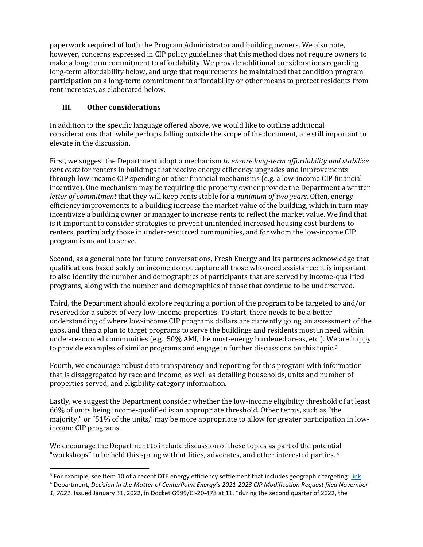paperwork required of both the Program Administrator and building owners. We also note, however, concerns expressed in CIP policy guidelines that this method does not require owners to make a long-term commitment to affordability. We provide additional considerations regarding long-term affordability below, and urge that requirements be maintained that condition program participation on a long-term commitment to affordability or other means to protect residents from rent increases, as elaborated below.

# **III. Other considerations**

In addition to the specific language offered above, we would like to outline additional considerations that, while perhaps falling outside the scope of the document, are still important to elevate in the discussion.

First, we suggest the Department adopt a mechanism *to ensure long-term affordability and stabilize rent costs* for renters in buildings that receive energy efficiency upgrades and improvements through low-income CIP spending or other financial mechanisms (e.g. a low-income CIP financial incentive). One mechanism may be requiring the property owner provide the Department a written *letter of commitment* that they will keep rents stable for a *minimum of two years*. Often, energy efficiency improvements to a building increase the market value of the building, which in turn may incentivize a building owner or manager to increase rents to reflect the market value. We find that is it important to consider strategies to prevent unintended increased housing cost burdens to renters, particularly those in under-resourced communities, and for whom the low-income CIP program is meant to serve.

Second, as a general note for future conversations, Fresh Energy and its partners acknowledge that qualifications based solely on income do not capture all those who need assistance: it is important to also identify the number and demographics of participants that are served by income-qualified programs, along with the number and demographics of those that continue to be underserved.

Third, the Department should explore requiring a portion of the program to be targeted to and/or reserved for a subset of very low-income properties. To start, there needs to be a better understanding of where low-income CIP programs dollars are currently going, an assessment of the gaps, and then a plan to target programs to serve the buildings and residents most in need within under-resourced communities (e.g., 50% AMI, the most-energy burdened areas, etc.). We are happy to provide examples of similar programs and engage in further discussions on this topic.<sup>[3](#page-1-0)</sup>

Fourth, we encourage robust data transparency and reporting for this program with information that is disaggregated by race and income, as well as detailing households, units and number of properties served, and eligibility category information.

Lastly, we suggest the Department consider whether the low-income eligibility threshold of at least 66% of units being income-qualified is an appropriate threshold. Other terms, such as "the majority," or "51% of the units," may be more appropriate to allow for greater participation in lowincome CIP programs.

We encourage the Department to include discussion of these topics as part of the potential "workshops" to be held this spring with utilities, advocates, and other interested parties. [4](#page-1-1)

<span id="page-1-0"></span><sup>&</sup>lt;sup>3</sup> For example, see Item 10 of a recent DTE energy efficiency settlement that includes geographic targeting: [link](https://mi-psc.force.com/sfc/servlet.shepherd/version/download/0688y000001noqBAAQ)

<span id="page-1-1"></span><sup>4</sup> Department, *Decision In the Matter of CenterPoint Energy's 2021-2023 CIP Modification Request filed November* 

*<sup>1, 2021.</sup>* Issued January 31, 2022, in Docket G999/CI-20-478 at 11. "during the second quarter of 2022, the